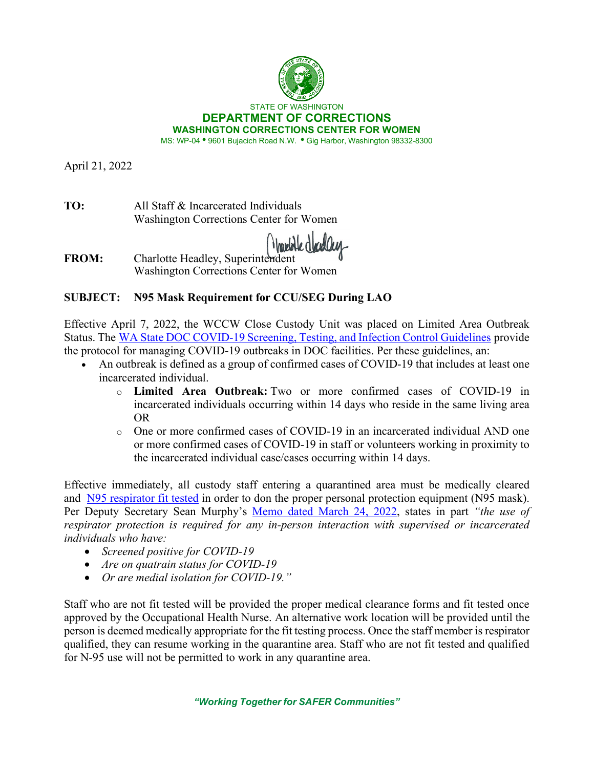

April 21, 2022

**TO:** All Staff & Incarcerated Individuals Washington Corrections Center for Women

Warelotte dloed O

**FROM:** Charlotte Headley, Superintendent Washington Corrections Center for Women

## **SUBJECT: N95 Mask Requirement for CCU/SEG During LAO**

Effective April 7, 2022, the WCCW Close Custody Unit was placed on Limited Area Outbreak Status. The [WA State DOC COVID-19 Screening, Testing, and Infection Control Guidelines](https://doc.wa.gov/corrections/covid-19/docs/screening-testing-infection-control-guideline.pdf) provide the protocol for managing COVID-19 outbreaks in DOC facilities. Per these guidelines, an:

- An outbreak is defined as a group of confirmed cases of COVID-19 that includes at least one incarcerated individual.
	- o **Limited Area Outbreak:** Two or more confirmed cases of COVID-19 in incarcerated individuals occurring within 14 days who reside in the same living area OR
	- o One or more confirmed cases of COVID-19 in an incarcerated individual AND one or more confirmed cases of COVID-19 in staff or volunteers working in proximity to the incarcerated individual case/cases occurring within 14 days.

Effective immediately, all custody staff entering a quarantined area must be medically cleared and [N95 respirator](http://insidedoc/policies/DOC/word/890090.pdf#search=respirator) fit tested in order to don the proper personal protection equipment (N95 mask). Per Deputy Secretary Sean Murphy's [Memo dated March 24, 2022,](https://doc.wa.gov/corrections/covid-19/docs/2022-0324-all-staff-updated-ppe-matrix-mandatory-n95-respirator-ready.pdf) states in part *"the use of respirator protection is required for any in-person interaction with supervised or incarcerated individuals who have:* 

- *Screened positive for COVID-19*
- *Are on quatrain status for COVID-19*
- *Or are medial isolation for COVID-19."*

Staff who are not fit tested will be provided the proper medical clearance forms and fit tested once approved by the Occupational Health Nurse. An alternative work location will be provided until the person is deemed medically appropriate for the fit testing process. Once the staff member is respirator qualified, they can resume working in the quarantine area. Staff who are not fit tested and qualified for N-95 use will not be permitted to work in any quarantine area.